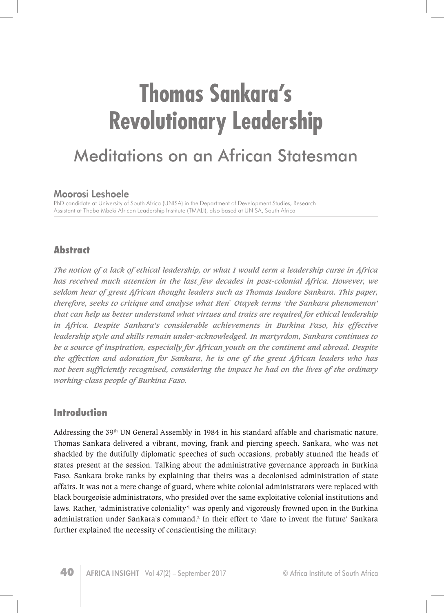# **Thomas Sankara's Revolutionary Leadership**  Meditations on an African Statesman

#### Moorosi Leshoele

PhD candidate at University of South Africa (UNISA) in the Department of Development Studies; Research Assistant at Thabo Mbeki African Leadership Institute (TMALI), also based at UNISA, South Africa

## **Abstract**

*The notion of a lack of ethical leadership, or what I would term a leadership curse in Africa has received much attention in the last few decades in post-colonial Africa. However, we seldom hear of great African thought leaders such as Thomas Isadore Sankara. This paper, therefore, seeks to critique and analyse what Ren` Otayek terms 'the Sankara phenomenon' that can help us better understand what virtues and traits are required for ethical leadership in Africa. Despite Sankara's considerable achievements in Burkina Faso, his effective leadership style and skills remain under-acknowledged. In martyrdom, Sankara continues to be a source of inspiration, especially for African youth on the continent and abroad. Despite the affection and adoration for Sankara, he is one of the great African leaders who has not been sufficiently recognised, considering the impact he had on the lives of the ordinary working-class people of Burkina Faso.*

## **Introduction**

Addressing the 39th UN General Assembly in 1984 in his standard affable and charismatic nature, Thomas Sankara delivered a vibrant, moving, frank and piercing speech. Sankara, who was not shackled by the dutifully diplomatic speeches of such occasions, probably stunned the heads of states present at the session. Talking about the administrative governance approach in Burkina Faso, Sankara broke ranks by explaining that theirs was a decolonised administration of state affairs. It was not a mere change of guard, where white colonial administrators were replaced with black bourgeoisie administrators, who presided over the same exploitative colonial institutions and laws. Rather, 'administrative coloniality'<sup>1</sup> was openly and vigorously frowned upon in the Burkina administration under Sankara's command.<sup>2</sup> In their effort to 'dare to invent the future' Sankara further explained the necessity of conscientising the military: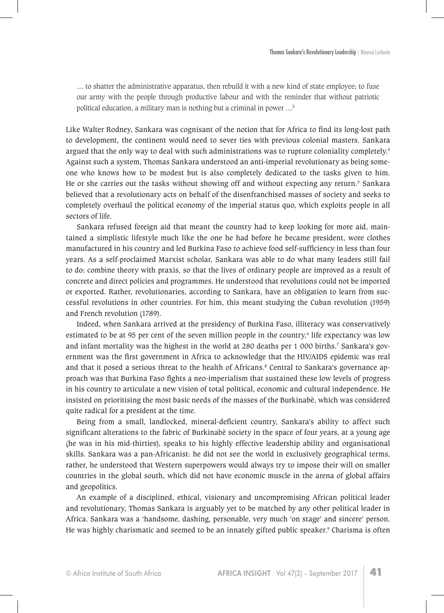… to shatter the administrative apparatus, then rebuild it with a new kind of state employee; to fuse our army with the people through productive labour and with the reminder that without patriotic political education, a military man is nothing but a criminal in power …<sup>3</sup>

Like Walter Rodney, Sankara was cognisant of the notion that for Africa to find its long-lost path to development, the continent would need to sever ties with previous colonial masters. Sankara argued that the only way to deal with such administrations was to rupture coloniality completely.<sup>4</sup> Against such a system, Thomas Sankara understood an anti-imperial revolutionary as being someone who knows how to be modest but is also completely dedicated to the tasks given to him. He or she carries out the tasks without showing off and without expecting any return.<sup>5</sup> Sankara believed that a revolutionary acts on behalf of the disenfranchised masses of society and seeks to completely overhaul the political economy of the imperial status quo, which exploits people in all sectors of life.

Sankara refused foreign aid that meant the country had to keep looking for more aid, maintained a simplistic lifestyle much like the one he had before he became president, wore clothes manufactured in his country and led Burkina Faso to achieve food self-sufficiency in less than four years. As a self-proclaimed Marxist scholar, Sankara was able to do what many leaders still fail to do: combine theory with praxis, so that the lives of ordinary people are improved as a result of concrete and direct policies and programmes. He understood that revolutions could not be imported or exported. Rather, revolutionaries, according to Sankara, have an obligation to learn from successful revolutions in other countries. For him, this meant studying the Cuban revolution (1959) and French revolution (1789).

Indeed, when Sankara arrived at the presidency of Burkina Faso, illiteracy was conservatively estimated to be at 95 per cent of the seven million people in the country,<sup>6</sup> life expectancy was low and infant mortality was the highest in the world at 280 deaths per 1 000 births.<sup>7</sup> Sankara's government was the first government in Africa to acknowledge that the HIV/AIDS epidemic was real and that it posed a serious threat to the health of Africans.<sup>8</sup> Central to Sankara's governance approach was that Burkina Faso fights a neo-imperialism that sustained these low levels of progress in his country to articulate a new vision of total political, economic and cultural independence. He insisted on prioritising the most basic needs of the masses of the Burkinabè, which was considered quite radical for a president at the time.

Being from a small, landlocked, mineral-deficient country, Sankara's ability to affect such significant alterations to the fabric of Burkinabè society in the space of four years, at a young age (he was in his mid-thirties), speaks to his highly effective leadership ability and organisational skills. Sankara was a pan-Africanist: he did not see the world in exclusively geographical terms, rather, he understood that Western superpowers would always try to impose their will on smaller countries in the global south, which did not have economic muscle in the arena of global affairs and geopolitics.

An example of a disciplined, ethical, visionary and uncompromising African political leader and revolutionary, Thomas Sankara is arguably yet to be matched by any other political leader in Africa. Sankara was a 'handsome, dashing, personable, very much 'on stage' and sincere' person. He was highly charismatic and seemed to be an innately gifted public speaker.<sup>9</sup> Charisma is often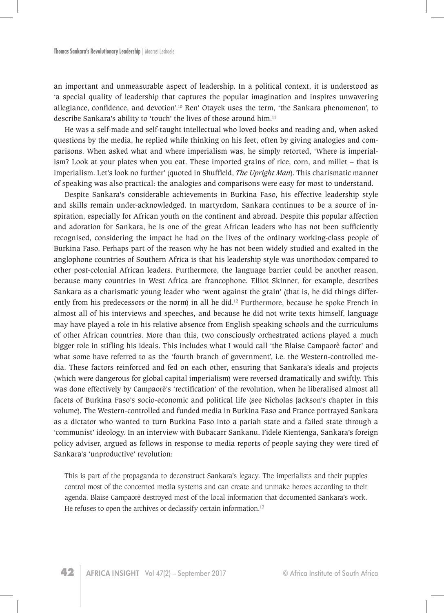an important and unmeasurable aspect of leadership. In a political context, it is understood as 'a special quality of leadership that captures the popular imagination and inspires unwavering allegiance, confidence, and devotion'.<sup>10</sup> Ren' Otayek uses the term, 'the Sankara phenomenon', to describe Sankara's ability to 'touch' the lives of those around him.<sup>11</sup>

He was a self-made and self-taught intellectual who loved books and reading and, when asked questions by the media, he replied while thinking on his feet, often by giving analogies and comparisons. When asked what and where imperialism was, he simply retorted, 'Where is imperialism? Look at your plates when you eat. These imported grains of rice, corn, and millet – that is imperialism. Let's look no further' (quoted in Shuffield, *The Upright Man*). This charismatic manner of speaking was also practical: the analogies and comparisons were easy for most to understand.

Despite Sankara's considerable achievements in Burkina Faso, his effective leadership style and skills remain under-acknowledged. In martyrdom, Sankara continues to be a source of inspiration, especially for African youth on the continent and abroad. Despite this popular affection and adoration for Sankara, he is one of the great African leaders who has not been sufficiently recognised, considering the impact he had on the lives of the ordinary working-class people of Burkina Faso. Perhaps part of the reason why he has not been widely studied and exalted in the anglophone countries of Southern Africa is that his leadership style was unorthodox compared to other post-colonial African leaders. Furthermore, the language barrier could be another reason, because many countries in West Africa are francophone. Elliot Skinner, for example, describes Sankara as a charismatic young leader who 'went against the grain' (that is, he did things differently from his predecessors or the norm) in all he did.<sup>12</sup> Furthermore, because he spoke French in almost all of his interviews and speeches, and because he did not write texts himself, language may have played a role in his relative absence from English speaking schools and the curriculums of other African countries. More than this, two consciously orchestrated actions played a much bigger role in stifling his ideals. This includes what I would call 'the Blaise Campaorè factor' and what some have referred to as the 'fourth branch of government', i.e. the Western-controlled media. These factors reinforced and fed on each other, ensuring that Sankara's ideals and projects (which were dangerous for global capital imperialism) were reversed dramatically and swiftly. This was done effectively by Campaorè's 'rectification' of the revolution, when he liberalised almost all facets of Burkina Faso's socio-economic and political life (see Nicholas Jackson's chapter in this volume). The Western-controlled and funded media in Burkina Faso and France portrayed Sankara as a dictator who wanted to turn Burkina Faso into a pariah state and a failed state through a 'communist' ideology. In an interview with Bubacarr Sankanu, Fidele Kientenga, Sankara's foreign policy adviser, argued as follows in response to media reports of people saying they were tired of Sankara's 'unproductive' revolution:

This is part of the propaganda to deconstruct Sankara's legacy. The imperialists and their puppies control most of the concerned media systems and can create and unmake heroes according to their agenda. Blaise Campaorè destroyed most of the local information that documented Sankara's work. He refuses to open the archives or declassify certain information.<sup>13</sup>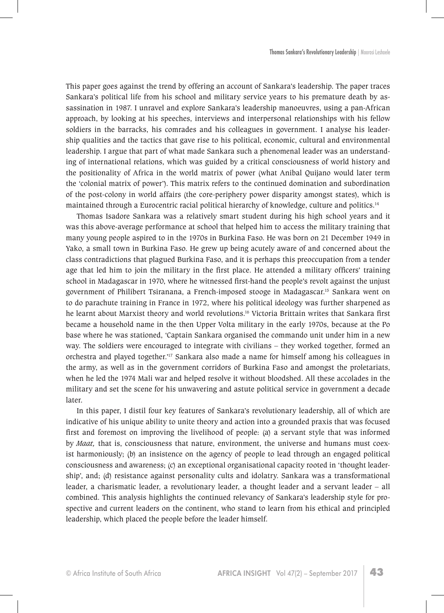This paper goes against the trend by offering an account of Sankara's leadership. The paper traces Sankara's political life from his school and military service years to his premature death by assassination in 1987. I unravel and explore Sankara's leadership manoeuvres, using a pan-African approach, by looking at his speeches, interviews and interpersonal relationships with his fellow soldiers in the barracks, his comrades and his colleagues in government. I analyse his leadership qualities and the tactics that gave rise to his political, economic, cultural and environmental leadership. I argue that part of what made Sankara such a phenomenal leader was an understanding of international relations, which was guided by a critical consciousness of world history and the positionality of Africa in the world matrix of power (what Anibal Quijano would later term the 'colonial matrix of power'). This matrix refers to the continued domination and subordination of the post-colony in world affairs (the core-periphery power disparity amongst states), which is maintained through a Eurocentric racial political hierarchy of knowledge, culture and politics.<sup>14</sup>

Thomas Isadore Sankara was a relatively smart student during his high school years and it was this above-average performance at school that helped him to access the military training that many young people aspired to in the 1970s in Burkina Faso. He was born on 21 December 1949 in Yako, a small town in Burkina Faso. He grew up being acutely aware of and concerned about the class contradictions that plagued Burkina Faso, and it is perhaps this preoccupation from a tender age that led him to join the military in the first place. He attended a military officers' training school in Madagascar in 1970, where he witnessed first-hand the people's revolt against the unjust government of Philibert Tsiranana, a French-imposed stooge in Madagascar.15 Sankara went on to do parachute training in France in 1972, where his political ideology was further sharpened as he learnt about Marxist theory and world revolutions.16 Victoria Brittain writes that Sankara first became a household name in the then Upper Volta military in the early 1970s, because at the Po base where he was stationed, 'Captain Sankara organised the commando unit under him in a new way. The soldiers were encouraged to integrate with civilians – they worked together, formed an orchestra and played together.'17 Sankara also made a name for himself among his colleagues in the army, as well as in the government corridors of Burkina Faso and amongst the proletariats, when he led the 1974 Mali war and helped resolve it without bloodshed. All these accolades in the military and set the scene for his unwavering and astute political service in government a decade later.

In this paper, I distil four key features of Sankara's revolutionary leadership, all of which are indicative of his unique ability to unite theory and action into a grounded praxis that was focused first and foremost on improving the livelihood of people: (a) a servant style that was informed by *Maat,* that is, consciousness that nature, environment, the universe and humans must coexist harmoniously; (b) an insistence on the agency of people to lead through an engaged political consciousness and awareness; (c) an exceptional organisational capacity rooted in 'thought leadership', and; (d) resistance against personality cults and idolatry. Sankara was a transformational leader, a charismatic leader, a revolutionary leader, a thought leader and a servant leader – all combined. This analysis highlights the continued relevancy of Sankara's leadership style for prospective and current leaders on the continent, who stand to learn from his ethical and principled leadership, which placed the people before the leader himself.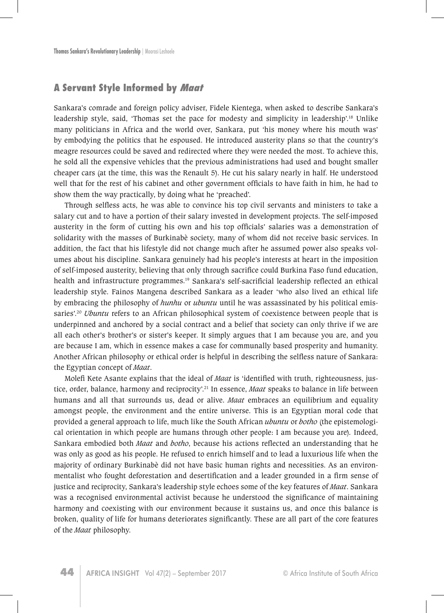#### **A Servant Style Informed by Maat**

Sankara's comrade and foreign policy adviser, Fidele Kientega, when asked to describe Sankara's leadership style, said, 'Thomas set the pace for modesty and simplicity in leadership'.<sup>18</sup> Unlike many politicians in Africa and the world over, Sankara, put 'his money where his mouth was' by embodying the politics that he espoused. He introduced austerity plans so that the country's meagre resources could be saved and redirected where they were needed the most. To achieve this, he sold all the expensive vehicles that the previous administrations had used and bought smaller cheaper cars (at the time, this was the Renault 5). He cut his salary nearly in half. He understood well that for the rest of his cabinet and other government officials to have faith in him, he had to show them the way practically, by doing what he 'preached'.

Through selfless acts, he was able to convince his top civil servants and ministers to take a salary cut and to have a portion of their salary invested in development projects. The self-imposed austerity in the form of cutting his own and his top officials' salaries was a demonstration of solidarity with the masses of Burkinabè society, many of whom did not receive basic services. In addition, the fact that his lifestyle did not change much after he assumed power also speaks volumes about his discipline. Sankara genuinely had his people's interests at heart in the imposition of self-imposed austerity, believing that only through sacrifice could Burkina Faso fund education, health and infrastructure programmes.<sup>19</sup> Sankara's self-sacrificial leadership reflected an ethical leadership style. Fainos Mangena described Sankara as a leader 'who also lived an ethical life by embracing the philosophy of *hunhu* or *ubuntu* until he was assassinated by his political emissaries'.<sup>20</sup> *Ubuntu* refers to an African philosophical system of coexistence between people that is underpinned and anchored by a social contract and a belief that society can only thrive if we are all each other's brother's or sister's keeper. It simply argues that I am because you are, and you are because I am, which in essence makes a case for communally based prosperity and humanity. Another African philosophy or ethical order is helpful in describing the selfless nature of Sankara: the Egyptian concept of *Maat*.

Molefi Kete Asante explains that the ideal of *Maat* is 'identified with truth, righteousness, justice, order, balance, harmony and reciprocity'.<sup>21</sup> In essence, *Maat* speaks to balance in life between humans and all that surrounds us, dead or alive. *Maat* embraces an equilibrium and equality amongst people, the environment and the entire universe. This is an Egyptian moral code that provided a general approach to life, much like the South African *ubuntu* or *botho* (the epistemological orientation in which people are humans through other people: I am because you are)*.* Indeed, Sankara embodied both *Maat* and *botho*, because his actions reflected an understanding that he was only as good as his people. He refused to enrich himself and to lead a luxurious life when the majority of ordinary Burkinabè did not have basic human rights and necessities. As an environmentalist who fought deforestation and desertification and a leader grounded in a firm sense of justice and reciprocity, Sankara's leadership style echoes some of the key features of *Maat*. Sankara was a recognised environmental activist because he understood the significance of maintaining harmony and coexisting with our environment because it sustains us, and once this balance is broken, quality of life for humans deteriorates significantly. These are all part of the core features of the *Maat* philosophy.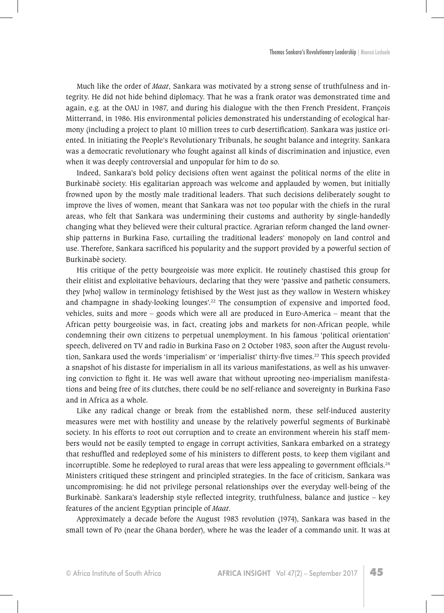Much like the order of *Maat*, Sankara was motivated by a strong sense of truthfulness and integrity. He did not hide behind diplomacy. That he was a frank orator was demonstrated time and again, e.g. at the OAU in 1987, and during his dialogue with the then French President, François Mitterrand, in 1986. His environmental policies demonstrated his understanding of ecological harmony (including a project to plant 10 million trees to curb desertification). Sankara was justice oriented. In initiating the People's Revolutionary Tribunals, he sought balance and integrity. Sankara was a democratic revolutionary who fought against all kinds of discrimination and injustice, even when it was deeply controversial and unpopular for him to do so.

Indeed, Sankara's bold policy decisions often went against the political norms of the elite in Burkinabè society. His egalitarian approach was welcome and applauded by women, but initially frowned upon by the mostly male traditional leaders. That such decisions deliberately sought to improve the lives of women, meant that Sankara was not too popular with the chiefs in the rural areas, who felt that Sankara was undermining their customs and authority by single-handedly changing what they believed were their cultural practice. Agrarian reform changed the land ownership patterns in Burkina Faso, curtailing the traditional leaders' monopoly on land control and use. Therefore, Sankara sacrificed his popularity and the support provided by a powerful section of Burkinabè society.

His critique of the petty bourgeoisie was more explicit. He routinely chastised this group for their elitist and exploitative behaviours, declaring that they were 'passive and pathetic consumers, they [who] wallow in terminology fetishised by the West just as they wallow in Western whiskey and champagne in shady-looking lounges'.<sup>22</sup> The consumption of expensive and imported food, vehicles, suits and more – goods which were all are produced in Euro-America – meant that the African petty bourgeoisie was, in fact, creating jobs and markets for non-African people, while condemning their own citizens to perpetual unemployment. In his famous 'political orientation' speech, delivered on TV and radio in Burkina Faso on 2 October 1983, soon after the August revolution, Sankara used the words 'imperialism' or 'imperialist' thirty-five times.<sup>23</sup> This speech provided a snapshot of his distaste for imperialism in all its various manifestations, as well as his unwavering conviction to fight it. He was well aware that without uprooting neo-imperialism manifestations and being free of its clutches, there could be no self-reliance and sovereignty in Burkina Faso and in Africa as a whole.

Like any radical change or break from the established norm, these self-induced austerity measures were met with hostility and unease by the relatively powerful segments of Burkinabè society. In his efforts to root out corruption and to create an environment wherein his staff members would not be easily tempted to engage in corrupt activities, Sankara embarked on a strategy that reshuffled and redeployed some of his ministers to different posts, to keep them vigilant and incorruptible. Some he redeployed to rural areas that were less appealing to government officials.<sup>24</sup> Ministers critiqued these stringent and principled strategies. In the face of criticism, Sankara was uncompromising: he did not privilege personal relationships over the everyday well-being of the Burkinabè. Sankara's leadership style reflected integrity, truthfulness, balance and justice – key features of the ancient Egyptian principle of *Maat*.

Approximately a decade before the August 1983 revolution (1974), Sankara was based in the small town of Po (near the Ghana border), where he was the leader of a commando unit. It was at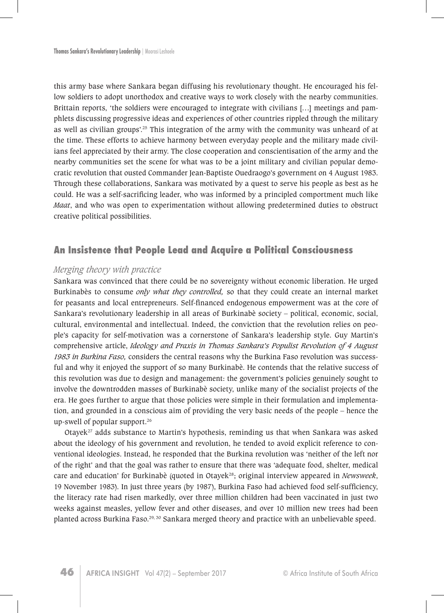this army base where Sankara began diffusing his revolutionary thought. He encouraged his fellow soldiers to adopt unorthodox and creative ways to work closely with the nearby communities. Brittain reports, 'the soldiers were encouraged to integrate with civilians […] meetings and pamphlets discussing progressive ideas and experiences of other countries rippled through the military as well as civilian groups'.<sup>25</sup> This integration of the army with the community was unheard of at the time. These efforts to achieve harmony between everyday people and the military made civilians feel appreciated by their army. The close cooperation and conscientisation of the army and the nearby communities set the scene for what was to be a joint military and civilian popular democratic revolution that ousted Commander Jean-Baptiste Ouedraogo's government on 4 August 1983. Through these collaborations, Sankara was motivated by a quest to serve his people as best as he could. He was a self-sacrificing leader, who was informed by a principled comportment much like *Maat*, and who was open to experimentation without allowing predetermined duties to obstruct creative political possibilities.

#### **An Insistence that People Lead and Acquire a Political Consciousness**

#### *Merging theory with practice*

Sankara was convinced that there could be no sovereignty without economic liberation. He urged Burkinabès to consume *only what they controlled,* so that they could create an internal market for peasants and local entrepreneurs. Self-financed endogenous empowerment was at the core of Sankara's revolutionary leadership in all areas of Burkinabè society – political, economic, social, cultural, environmental and intellectual. Indeed, the conviction that the revolution relies on people's capacity for self-motivation was a cornerstone of Sankara's leadership style. Guy Martin's comprehensive article, *Ideology and Praxis in Thomas Sankara's Populist Revolution of 4 August 1983 in Burkina Faso,* considers the central reasons why the Burkina Faso revolution was successful and why it enjoyed the support of so many Burkinabè. He contends that the relative success of this revolution was due to design and management: the government's policies genuinely sought to involve the downtrodden masses of Burkinabè society, unlike many of the socialist projects of the era. He goes further to argue that those policies were simple in their formulation and implementation, and grounded in a conscious aim of providing the very basic needs of the people – hence the up-swell of popular support.<sup>26</sup>

Otayek<sup>27</sup> adds substance to Martin's hypothesis, reminding us that when Sankara was asked about the ideology of his government and revolution, he tended to avoid explicit reference to conventional ideologies. Instead, he responded that the Burkina revolution was 'neither of the left nor of the right' and that the goal was rather to ensure that there was 'adequate food, shelter, medical care and education' for Burkinabè (quoted in Otayek<sup>28</sup>; original interview appeared in *Newsweek*, 19 November 1983). In just three years (by 1987), Burkina Faso had achieved food self-sufficiency, the literacy rate had risen markedly, over three million children had been vaccinated in just two weeks against measles, yellow fever and other diseases, and over 10 million new trees had been planted across Burkina Faso.29, 30 Sankara merged theory and practice with an unbelievable speed.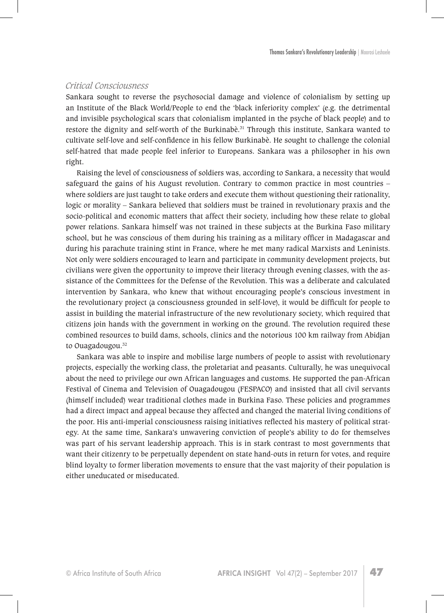#### *Critical Consciousness*

Sankara sought to reverse the psychosocial damage and violence of colonialism by setting up an Institute of the Black World/People to end the 'black inferiority complex' (e.g. the detrimental and invisible psychological scars that colonialism implanted in the psyche of black people) and to restore the dignity and self-worth of the Burkinabè.<sup>31</sup> Through this institute, Sankara wanted to cultivate self-love and self-confidence in his fellow Burkinabè. He sought to challenge the colonial self-hatred that made people feel inferior to Europeans. Sankara was a philosopher in his own right.

Raising the level of consciousness of soldiers was, according to Sankara, a necessity that would safeguard the gains of his August revolution. Contrary to common practice in most countries – where soldiers are just taught to take orders and execute them without questioning their rationality, logic or morality – Sankara believed that soldiers must be trained in revolutionary praxis and the socio-political and economic matters that affect their society, including how these relate to global power relations. Sankara himself was not trained in these subjects at the Burkina Faso military school, but he was conscious of them during his training as a military officer in Madagascar and during his parachute training stint in France, where he met many radical Marxists and Leninists. Not only were soldiers encouraged to learn and participate in community development projects, but civilians were given the opportunity to improve their literacy through evening classes, with the assistance of the Committees for the Defense of the Revolution. This was a deliberate and calculated intervention by Sankara, who knew that without encouraging people's conscious investment in the revolutionary project (a consciousness grounded in self-love), it would be difficult for people to assist in building the material infrastructure of the new revolutionary society, which required that citizens join hands with the government in working on the ground. The revolution required these combined resources to build dams, schools, clinics and the notorious 100 km railway from Abidjan to Ouagadougou.<sup>32</sup>

Sankara was able to inspire and mobilise large numbers of people to assist with revolutionary projects, especially the working class, the proletariat and peasants. Culturally, he was unequivocal about the need to privilege our own African languages and customs. He supported the pan-African Festival of Cinema and Television of Ouagadougou (FESPACO) and insisted that all civil servants (himself included) wear traditional clothes made in Burkina Faso. These policies and programmes had a direct impact and appeal because they affected and changed the material living conditions of the poor. His anti-imperial consciousness raising initiatives reflected his mastery of political strategy. At the same time, Sankara's unwavering conviction of people's ability to do for themselves was part of his servant leadership approach. This is in stark contrast to most governments that want their citizenry to be perpetually dependent on state hand-outs in return for votes, and require blind loyalty to former liberation movements to ensure that the vast majority of their population is either uneducated or miseducated.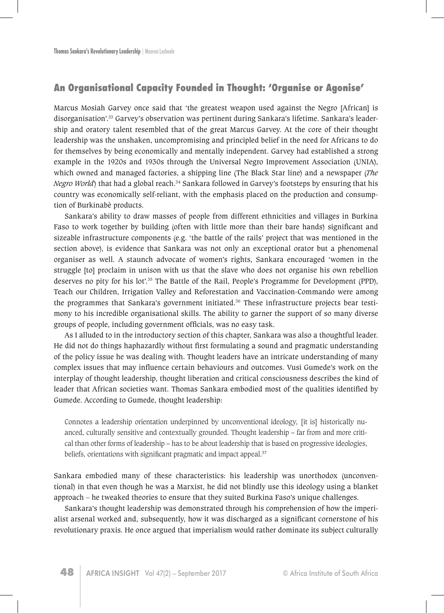## **An Organisational Capacity Founded in Thought: 'Organise or Agonise'**

Marcus Mosiah Garvey once said that 'the greatest weapon used against the Negro [African] is disorganisation'.33 Garvey's observation was pertinent during Sankara's lifetime. Sankara's leadership and oratory talent resembled that of the great Marcus Garvey. At the core of their thought leadership was the unshaken, uncompromising and principled belief in the need for Africans to do for themselves by being economically and mentally independent. Garvey had established a strong example in the 1920s and 1930s through the Universal Negro Improvement Association (UNIA), which owned and managed factories, a shipping line (The Black Star line) and a newspaper (*The Negro World*) that had a global reach.<sup>34</sup> Sankara followed in Garvey's footsteps by ensuring that his country was economically self-reliant, with the emphasis placed on the production and consumption of Burkinabè products.

Sankara's ability to draw masses of people from different ethnicities and villages in Burkina Faso to work together by building (often with little more than their bare hands) significant and sizeable infrastructure components (e.g. 'the battle of the rails' project that was mentioned in the section above), is evidence that Sankara was not only an exceptional orator but a phenomenal organiser as well. A staunch advocate of women's rights, Sankara encouraged 'women in the struggle [to] proclaim in unison with us that the slave who does not organise his own rebellion deserves no pity for his lot'.<sup>35</sup> The Battle of the Rail, People's Programme for Development (PPD), Teach our Children, Irrigation Valley and Reforestation and Vaccination-Commando were among the programmes that Sankara's government initiated.<sup>36</sup> These infrastructure projects bear testimony to his incredible organisational skills. The ability to garner the support of so many diverse groups of people, including government officials, was no easy task.

As I alluded to in the introductory section of this chapter, Sankara was also a thoughtful leader. He did not do things haphazardly without first formulating a sound and pragmatic understanding of the policy issue he was dealing with. Thought leaders have an intricate understanding of many complex issues that may influence certain behaviours and outcomes. Vusi Gumede's work on the interplay of thought leadership, thought liberation and critical consciousness describes the kind of leader that African societies want. Thomas Sankara embodied most of the qualities identified by Gumede. According to Gumede, thought leadership:

Connotes a leadership orientation underpinned by unconventional ideology, [it is] historically nuanced, culturally sensitive and contextually grounded. Thought leadership – far from and more critical than other forms of leadership – has to be about leadership that is based on progressive ideologies, beliefs, orientations with significant pragmatic and impact appeal. $37$ 

Sankara embodied many of these characteristics: his leadership was unorthodox (unconventional) in that even though he was a Marxist, he did not blindly use this ideology using a blanket approach – he tweaked theories to ensure that they suited Burkina Faso's unique challenges.

Sankara's thought leadership was demonstrated through his comprehension of how the imperialist arsenal worked and, subsequently, how it was discharged as a significant cornerstone of his revolutionary praxis. He once argued that imperialism would rather dominate its subject culturally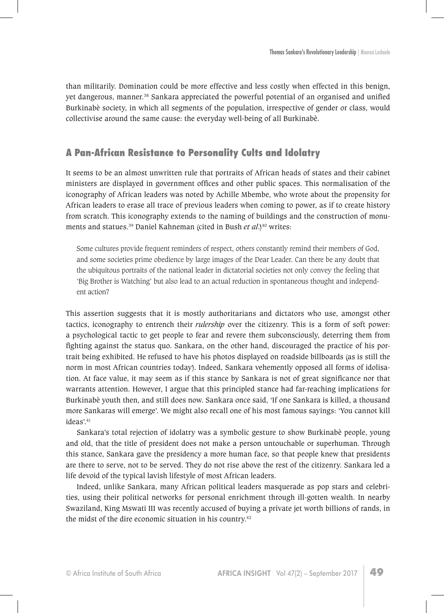than militarily. Domination could be more effective and less costly when effected in this benign, yet dangerous, manner.<sup>38</sup> Sankara appreciated the powerful potential of an organised and unified Burkinabè society, in which all segments of the population, irrespective of gender or class, would collectivise around the same cause: the everyday well-being of all Burkinabè.

## **A Pan-African Resistance to Personality Cults and Idolatry**

It seems to be an almost unwritten rule that portraits of African heads of states and their cabinet ministers are displayed in government offices and other public spaces. This normalisation of the iconography of African leaders was noted by Achille Mbembe, who wrote about the propensity for African leaders to erase all trace of previous leaders when coming to power, as if to create history from scratch. This iconography extends to the naming of buildings and the construction of monuments and statues.<sup>39</sup> Daniel Kahneman (cited in Bush *et al.*)<sup>40</sup> writes:

Some cultures provide frequent reminders of respect, others constantly remind their members of God, and some societies prime obedience by large images of the Dear Leader. Can there be any doubt that the ubiquitous portraits of the national leader in dictatorial societies not only convey the feeling that 'Big Brother is Watching' but also lead to an actual reduction in spontaneous thought and independent action?

This assertion suggests that it is mostly authoritarians and dictators who use, amongst other tactics, iconography to entrench their *rulership* over the citizenry. This is a form of soft power: a psychological tactic to get people to fear and revere them subconsciously, deterring them from fighting against the status quo. Sankara, on the other hand, discouraged the practice of his portrait being exhibited. He refused to have his photos displayed on roadside billboards (as is still the norm in most African countries today). Indeed, Sankara vehemently opposed all forms of idolisation. At face value, it may seem as if this stance by Sankara is not of great significance nor that warrants attention. However, I argue that this principled stance had far-reaching implications for Burkinabè youth then, and still does now. Sankara once said, 'If one Sankara is killed, a thousand more Sankaras will emerge'. We might also recall one of his most famous sayings: 'You cannot kill ideas'.<sup>41</sup>

Sankara's total rejection of idolatry was a symbolic gesture to show Burkinabè people, young and old, that the title of president does not make a person untouchable or superhuman. Through this stance, Sankara gave the presidency a more human face, so that people knew that presidents are there to serve, not to be served. They do not rise above the rest of the citizenry. Sankara led a life devoid of the typical lavish lifestyle of most African leaders.

Indeed, unlike Sankara, many African political leaders masquerade as pop stars and celebrities, using their political networks for personal enrichment through ill-gotten wealth. In nearby Swaziland, King Mswati III was recently accused of buying a private jet worth billions of rands, in the midst of the dire economic situation in his country.42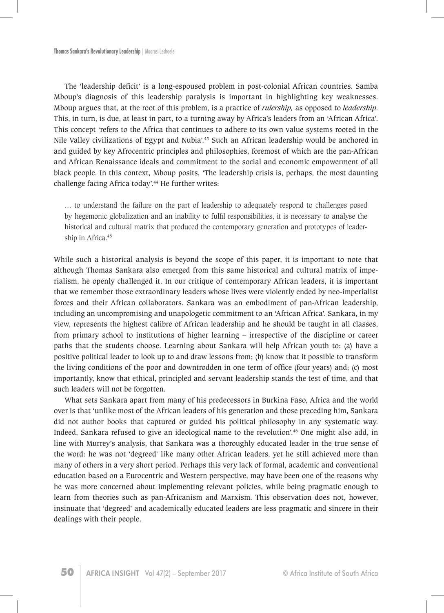The 'leadership deficit' is a long-espoused problem in post-colonial African countries. Samba Mboup's diagnosis of this leadership paralysis is important in highlighting key weaknesses. Mboup argues that, at the root of this problem, is a practice of *rulership,* as opposed to *leadership*. This, in turn, is due, at least in part, to a turning away by Africa's leaders from an 'African Africa'. This concept 'refers to the Africa that continues to adhere to its own value systems rooted in the Nile Valley civilizations of Egypt and Nubia'.<sup>43</sup> Such an African leadership would be anchored in and guided by key Afrocentric principles and philosophies, foremost of which are the pan-African and African Renaissance ideals and commitment to the social and economic empowerment of all black people. In this context, Mboup posits, 'The leadership crisis is, perhaps, the most daunting challenge facing Africa today'.<sup>44</sup> He further writes:

… to understand the failure on the part of leadership to adequately respond to challenges posed by hegemonic globalization and an inability to fulfil responsibilities, it is necessary to analyse the historical and cultural matrix that produced the contemporary generation and prototypes of leadership in Africa.<sup>45</sup>

While such a historical analysis is beyond the scope of this paper, it is important to note that although Thomas Sankara also emerged from this same historical and cultural matrix of imperialism, he openly challenged it. In our critique of contemporary African leaders, it is important that we remember those extraordinary leaders whose lives were violently ended by neo-imperialist forces and their African collaborators. Sankara was an embodiment of pan-African leadership, including an uncompromising and unapologetic commitment to an 'African Africa'. Sankara, in my view, represents the highest calibre of African leadership and he should be taught in all classes, from primary school to institutions of higher learning – irrespective of the discipline or career paths that the students choose. Learning about Sankara will help African youth to: (a) have a positive political leader to look up to and draw lessons from; (b) know that it possible to transform the living conditions of the poor and downtrodden in one term of office (four years) and; (c) most importantly, know that ethical, principled and servant leadership stands the test of time, and that such leaders will not be forgotten.

What sets Sankara apart from many of his predecessors in Burkina Faso, Africa and the world over is that 'unlike most of the African leaders of his generation and those preceding him, Sankara did not author books that captured or guided his political philosophy in any systematic way. Indeed, Sankara refused to give an ideological name to the revolution'.<sup>46</sup> One might also add, in line with Murrey's analysis, that Sankara was a thoroughly educated leader in the true sense of the word: he was not 'degreed' like many other African leaders, yet he still achieved more than many of others in a very short period. Perhaps this very lack of formal, academic and conventional education based on a Eurocentric and Western perspective, may have been one of the reasons why he was more concerned about implementing relevant policies, while being pragmatic enough to learn from theories such as pan-Africanism and Marxism. This observation does not, however, insinuate that 'degreed' and academically educated leaders are less pragmatic and sincere in their dealings with their people.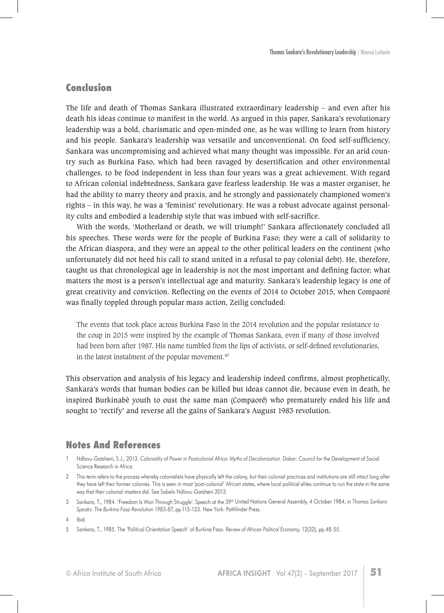## **Conclusion**

The life and death of Thomas Sankara illustrated extraordinary leadership – and even after his death his ideas continue to manifest in the world. As argued in this paper, Sankara's revolutionary leadership was a bold, charismatic and open-minded one, as he was willing to learn from history and his people. Sankara's leadership was versatile and unconventional. On food self-sufficiency, Sankara was uncompromising and achieved what many thought was impossible. For an arid country such as Burkina Faso, which had been ravaged by desertification and other environmental challenges, to be food independent in less than four years was a great achievement. With regard to African colonial indebtedness, Sankara gave fearless leadership. He was a master organiser, he had the ability to marry theory and praxis, and he strongly and passionately championed women's rights – in this way, he was a 'feminist' revolutionary. He was a robust advocate against personality cults and embodied a leadership style that was imbued with self-sacrifice.

With the words, 'Motherland or death, we will triumph!' Sankara affectionately concluded all his speeches. These words were for the people of Burkina Faso; they were a call of solidarity to the African diaspora, and they were an appeal to the other political leaders on the continent (who unfortunately did not heed his call to stand united in a refusal to pay colonial debt). He, therefore, taught us that chronological age in leadership is not the most important and defining factor; what matters the most is a person's intellectual age and maturity. Sankara's leadership legacy is one of great creativity and conviction. Reflecting on the events of 2014 to October 2015, when Compaoré was finally toppled through popular mass action, Zeilig concluded:

The events that took place across Burkina Faso in the 2014 revolution and the popular resistance to the coup in 2015 were inspired by the example of Thomas Sankara, even if many of those involved had been born after 1987. His name tumbled from the lips of activists, or self-defined revolutionaries, in the latest instalment of the popular movement.<sup>47</sup>

This observation and analysis of his legacy and leadership indeed confirms, almost prophetically, Sankara's words that human bodies can be killed but ideas cannot die, because even in death, he inspired Burkinabè youth to oust the same man (Compaoré) who prematurely ended his life and sought to 'rectify' and reverse all the gains of Sankara's August 1983 revolution.

## **Notes And References**

- 1 Ndlovu-Gatsheni, S.J., 2013. *Coloniality of Power in Postcolonial Africa: Myths of Decolonisation*. Dakar: Council for the Development of Social Science Research in Africa.
- 2 This term refers to the process whereby colonialists have physically left the colony, but their colonial practices and institutions are still intact long after they have left their former colonies. This is seen in most 'post-colonial' African states, where local political elites continue to run the state in the same way that their colonial masters did. See Sabelo Ndlovu-Gatsheni 2013.
- 3 Sankara, T., 1984. 'Freedom Is Won Through Struggle'. Speech at the 39th United Nations General Assembly, 4 October 1984, in *Thomas Sankara Speaks: The Burkina Faso Revolution 1983-87,* pp.115-133. New York: Pathfinder Press.

5 Sankara, T., 1985. The 'Political Orientation Speech' of Burkina Faso. *Review of African Political Economy,* 12(32), pp.48-55.

<sup>4</sup> Ibid*.*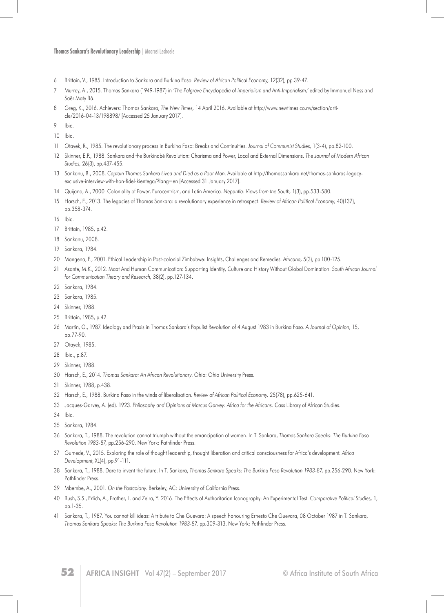**Thomas Sankara's Revolutionary Leadership** | Moorosi Leshoele

- Brittain, V., 1985. Introduction to Sankara and Burkina Faso. *Review of African Political Economy,* 12(32), pp.39-47.
- Murrey, A., 2015. Thomas Sankara (1949-1987) in *'The Palgrave Encyclopedia of Imperialism and Anti-Imperialism,'* edited by Immanuel Ness and Saër Maty Bâ.
- Greg, K., 2016. Achievers: Thomas Sankara, *The New Times,* 14 April 2016. Available at http://www.newtimes.co.rw/section/article/2016-04-13/198898/ [Accessed 25 January 2017].
- Ibid*.*
- Ibid.
- Otayek, R., 1985. The revolutionary process in Burkina Faso: Breaks and Continuities. *Journal of Communist Studies,* 1(3-4), pp.82-100.
- Skinner, E.P., 1988. Sankara and the Burkinabé Revolution: Charisma and Power, Local and External Dimensions. *The Journal of Modern African Studies,* 26(3), pp.437-455.
- Sankanu, B., 2008. *Captain Thomas Sankara Lived and Died as a Poor Man*. Available at http://thomassankara.net/thomas-sankaras-legacyexclusive-interview-with-hon-fidel-kientega/?lang=en [Accessed 31 January 2017].
- Quijano, A., 2000. Coloniality of Power, Eurocentrism, and Latin America. *Nepantla: Views from the South,* 1(3), pp.533-580*.*
- Harsch, E., 2013. The legacies of Thomas Sankara: a revolutionary experience in retrospect. *Review of African Political Economy,* 40(137), pp.358-374.
- Ibid*.*
- Brittain, 1985, p.42.
- Sankanu, 2008.
- Sankara, 1984.
- Mangena, F., 2001. Ethical Leadership in Post-colonial Zimbabwe: Insights, Challenges and Remedies. *Africana,* 5(3), pp.100-125.
- Asante, M.K., 2012. Maat And Human Communication: Supporting Identity, Culture and History Without Global Domination. *South African Journal for Communication Theory and Research,* 38(2), pp.127-134.
- Sankara, 1984.
- Sankara, 1985.
- Skinner, 1988.
- Brittain, 1985, p.42.
- Martin, G., 1987. Ideology and Praxis in Thomas Sankara's Populist Revolution of 4 August 1983 in Burkina Faso. *A Journal of Opinion,* 15, pp.77-90.
- Otayek, 1985.
- Ibid., p.87.
- Skinner, 1988.
- Harsch, E., 2014. *Thomas Sankara: An African Revolutionary*. Ohio: Ohio University Press.
- Skinner, 1988, p.438.
- Harsch, E., 1988. Burkina Faso in the winds of liberalisation. *Review of African Political Economy,* 25(78), pp.625-641.
- Jacques-Garvey, A. (ed). 1923. *Philosophy and Opinions of Marcus Garvey: Africa for the Africans.* Cass Library of African Studies.
- Ibid*.*
- Sankara, 1984.
- Sankara, T., 1988. The revolution cannot triumph without the emancipation of women. In T. Sankara, *Thomas Sankara Speaks: The Burkina Faso Revolution 1983-87,* pp.256-290. New York: Pathfinder Press.
- Gumede, V., 2015. Exploring the role of thought leadership, thought liberation and critical consciousness for Africa's development*. Africa Development*, XL(4), pp.91-111.
- 38 Sankara, T., 1988. Dare to invent the future. In T. Sankara, *Thomas Sankara Speaks: The Burkina Faso Revolution 1983-87*, pp.256-290. New York: Pathfinder Press.
- Mbembe, A., 2001. *On the Postcolony.* Berkeley, AC: University of California Press.
- Bush, S.S., Erlich, A., Prather, L. and Zeira, Y. 2016. The Effects of Authoritarian Iconography: An Experimental Test. *Comparative Political Studies,* 1, pp.1-35.
- Sankara, T., 1987. You cannot kill ideas: A tribute to Che Guevara: A speech honouring Ernesto Che Guevara, 08 October 1987 in T. Sankara, *Thomas Sankara Speaks: The Burkina Faso Revolution 1983-87,* pp.309-313. New York: Pathfinder Press.